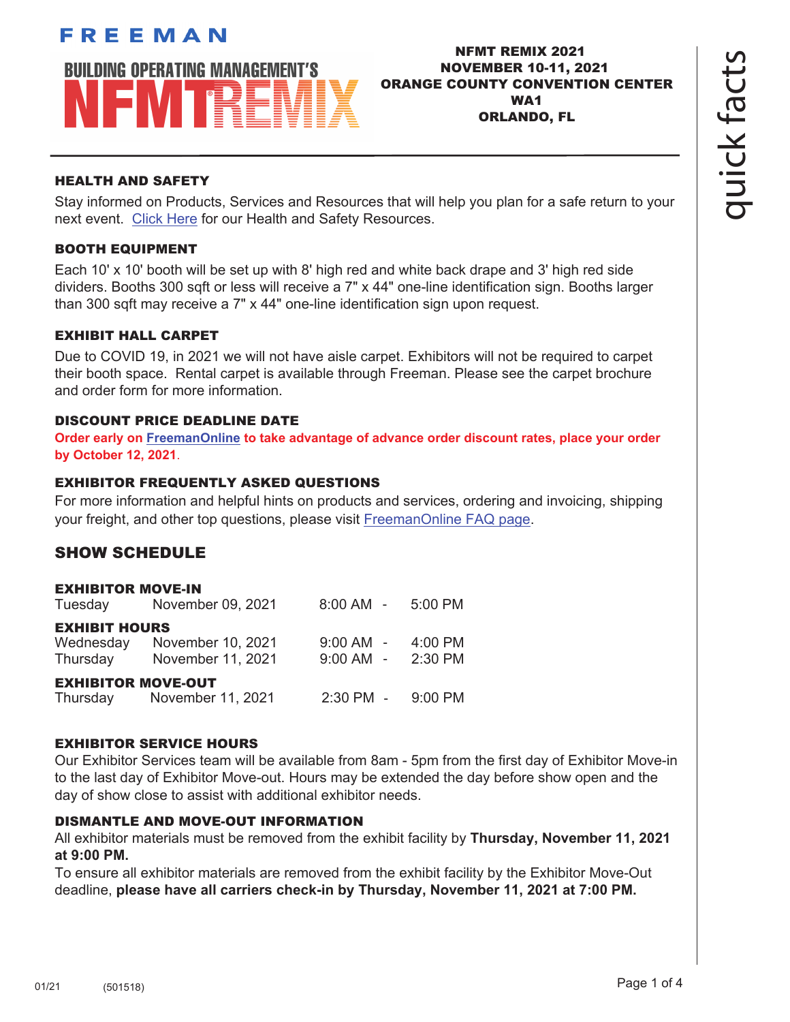# FREEMAN **BUILDING OPERATING MANAGEMENT'S** IFMTR

# NFMT REMIX 2021 NOVEMBER 10-11, 2021 ORANGE COUNTY CONVENTION CENTER WA1 ORLANDO, FL

# HEALTH AND SAFETY

Stay informed on Products, Services and Resources that will help you plan for a safe return to your next event. [Click Here](https://content.freemanco.com/documents/40003/151241/Exhibitor+COVID+Resources/2644c341-2880-41d2-86ec-6e2dfde2db55) for our Health and Safety Resources.

# BOOTH EQUIPMENT

Each 10' x 10' booth will be set up with 8' high red and white back drape and 3' high red side dividers. Booths 300 sqft or less will receive a 7" x 44" one-line identification sign. Booths larger than 300 sqft may receive a 7" x 44" one-line identification sign upon request.

# EXHIBIT HALL CARPET

Due to COVID 19, in 2021 we will not have aisle carpet. Exhibitors will not be required to carpet their booth space. Rental carpet is available through Freeman. Please see the carpet brochure and order form for more information.

# DISCOUNT PRICE DEADLINE DATE

**Order early o[n FreemanOnline t](https://www.freemanco.com/store?utm_source=Forms&utm_medium=PDF)o take advantage of advance order discount rates, place your order by October 12, 2021**.

# EXHIBITOR FREQUENTLY ASKED QUESTIONS

For more information and helpful hints on products and services, ordering and invoicing, shipping your freight, and other top questions, please visit [FreemanOnline FAQ page.](https://www.freemanco.com/store/faqs)

# SHOW SCHEDULE

# EXHIBITOR MOVE-IN

| Tuesday                   | November 09, 2021          | $8:00$ AM $-$ 5:00 PM |         |
|---------------------------|----------------------------|-----------------------|---------|
| <b>EXHIBIT HOURS</b>      |                            |                       |         |
| Wednesday                 | November 10, 2021          | $9:00$ AM $-$         | 4:00 PM |
| Thursday                  | November 11, 2021          | $9:00$ AM $-$         | 2:30 PM |
| <b>EXHIBITOR MOVE-OUT</b> |                            |                       |         |
|                           | Thursday November 11, 2021 | 2:30 PM - 9:00 PM     |         |

#### EXHIBITOR SERVICE HOURS

Our Exhibitor Services team will be available from 8am - 5pm from the first day of Exhibitor Move-in to the last day of Exhibitor Move-out. Hours may be extended the day before show open and the day of show close to assist with additional exhibitor needs.

#### DISMANTLE AND MOVE-OUT INFORMATION

All exhibitor materials must be removed from the exhibit facility by **Thursday, November 11, 2021 at 9:00 PM.** 

To ensure all exhibitor materials are removed from the exhibit facility by the Exhibitor Move-Out deadline, **please have all carriers check-in by Thursday, November 11, 2021 at 7:00 PM.**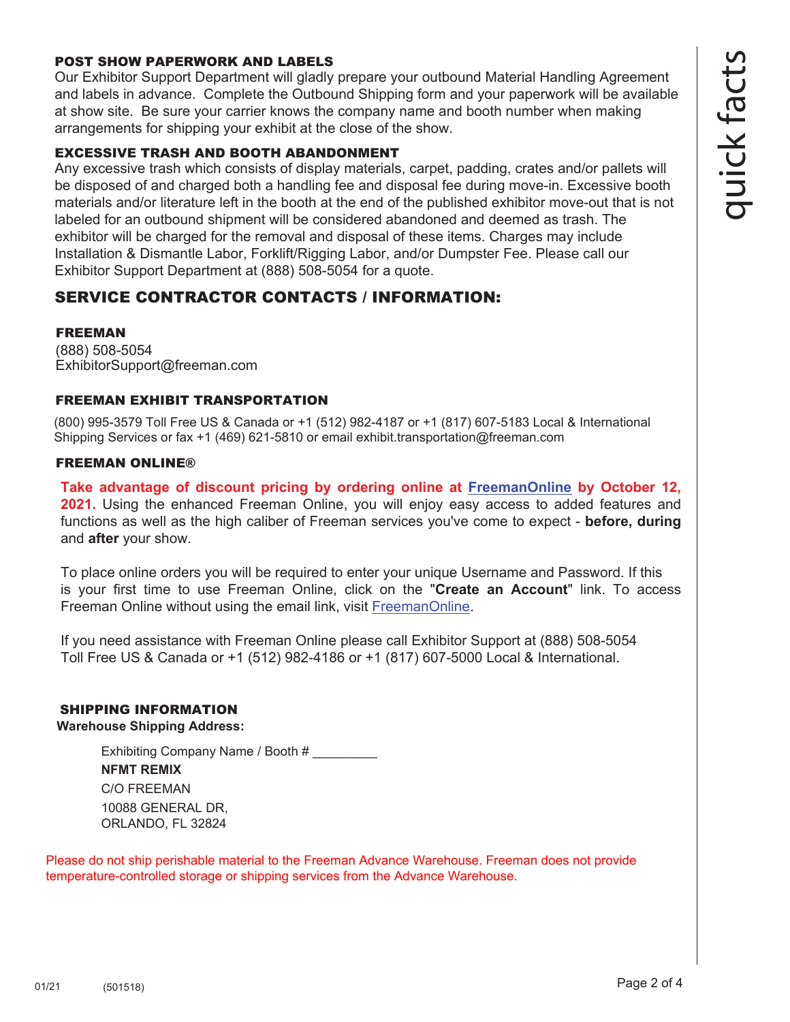#### POST SHOW PAPERWORK AND LABELS

Our Exhibitor Support Department will gladly prepare your outbound Material Handling Agreement and labels in advance. Complete the Outbound Shipping form and your paperwork will be available at show site. Be sure your carrier knows the company name and booth number when making arrangements for shipping your exhibit at the close of the show.

#### EXCESSIVE TRASH AND BOOTH ABANDONMENT

Any excessive trash which consists of display materials, carpet, padding, crates and/or pallets will be disposed of and charged both a handling fee and disposal fee during move-in. Excessive booth materials and/or literature left in the booth at the end of the published exhibitor move-out that is not labeled for an outbound shipment will be considered abandoned and deemed as trash. The exhibitor will be charged for the removal and disposal of these items. Charges may include Installation & Dismantle Labor, Forklift/Rigging Labor, and/or Dumpster Fee. Please call our Exhibitor Support Department at (888) 508-5054 for a quote.

# SERVICE CONTRACTOR CONTACTS / INFORMATION:

#### FREEMAN

(888) 508-5054 ExhibitorSupport@freeman.com

#### FREEMAN EXHIBIT TRANSPORTATION

(800) 995-3579 Toll Free US & Canada or +1 (512) 982-4187 or +1 (817) 607-5183 Local & International Shipping Services or fax +1 (469) 621-5810 or email exhibit.transportation@freeman.com

#### FREEMAN ONLINE®

**Take advantage of discount pricing by ordering online at [FreemanOnline by](https://www.freemanco.com/store?utm_source=Forms&utm_medium=PDF) October 12, 2021.** Using the enhanced Freeman Online, you will enjoy easy access to added features and functions as well as the high caliber of Freeman services you've come to expect - **before, during** and **after** your show.

To place online orders you will be required to enter your unique Username and Password. If this is your first time to use Freeman Online, click on the "**Create an Account**" link. To access Freeman Online without using the email link, visi[t FreemanOnline.](https://www.freemanco.com/store?utm_source=Forms&utm_medium=PDF) 

If you need assistance with Freeman Online please call Exhibitor Support at (888) 508-5054 Toll Free US & Canada or +1 (512) 982-4186 or +1 (817) 607-5000 Local & International.

#### SHIPPING INFORMATION

**Warehouse Shipping Address:**

Exhibiting Company Name / Booth # **NFMT REMIX** C/O FREEMAN 10088 GENERAL DR, ORLANDO, FL 32824

Please do not ship perishable material to the Freeman Advance Warehouse. Freeman does not provide temperature-controlled storage or shipping services from the Advance Warehouse.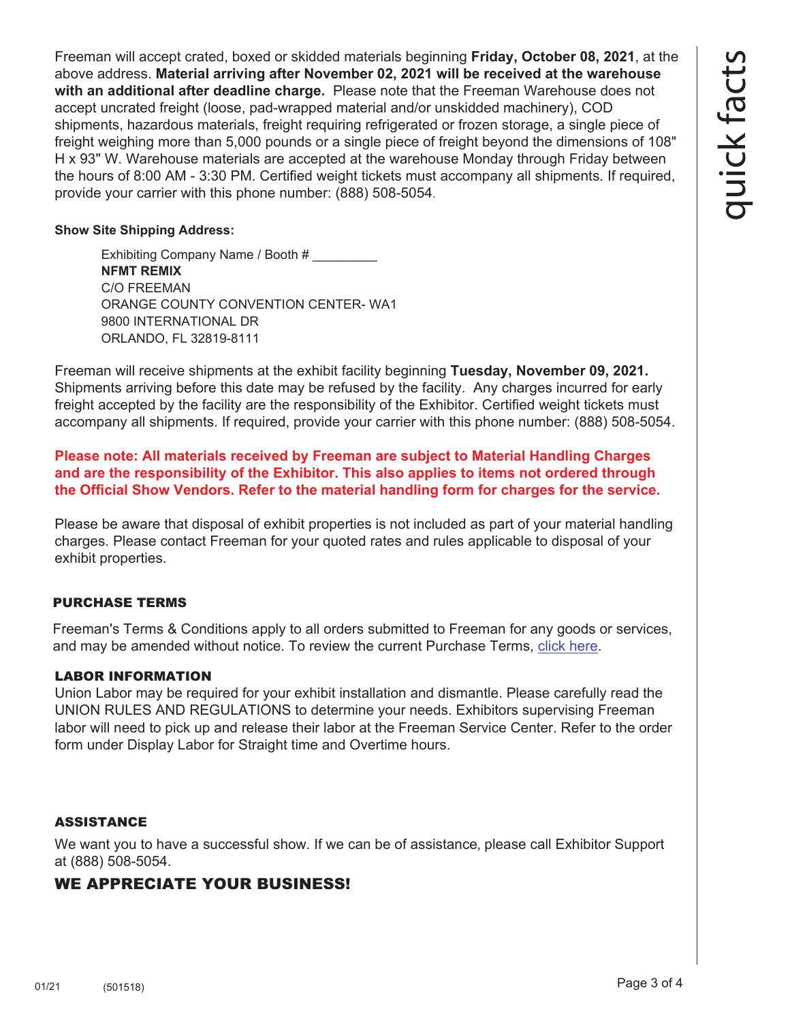Freeman will accept crated, boxed or skidded materials beginning **Friday, October 08, 2021**, at the above address. **Material arriving after November 02, 2021 will be received at the warehouse with an additional after deadline charge.** Please note that the Freeman Warehouse does not accept uncrated freight (loose, pad-wrapped material and/or unskidded machinery), COD shipments, hazardous materials, freight requiring refrigerated or frozen storage, a single piece of freight weighing more than 5,000 pounds or a single piece of freight beyond the dimensions of 108" H x 93" W. Warehouse materials are accepted at the warehouse Monday through Friday between the hours of 8:00 AM - 3:30 PM. Certified weight tickets must accompany all shipments. If required, provide your carrier with this phone number: (888) 508-5054.

#### **Show Site Shipping Address:**

Exhibiting Company Name / Booth # **NFMT REMIX** C/O FREEMAN ORANGE COUNTY CONVENTION CENTER- WA1 9800 INTERNATIONAL DR ORLANDO, FL 32819-8111

Freeman will receive shipments at the exhibit facility beginning **Tuesday, November 09, 2021.** Shipments arriving before this date may be refused by the facility. Any charges incurred for early freight accepted by the facility are the responsibility of the Exhibitor. Certified weight tickets must accompany all shipments. If required, provide your carrier with this phone number: (888) 508-5054.

**Please note: All materials received by Freeman are subject to Material Handling Charges and are the responsibility of the Exhibitor. This also applies to items not ordered through the Official Show Vendors. Refer to the material handling form for charges for the service.** 

Please be aware that disposal of exhibit properties is not included as part of your material handling charges. Please contact Freeman for your quoted rates and rules applicable to disposal of your exhibit properties.

#### PURCHASE TERMS

Freeman's Terms & Conditions apply to all orders submitted to Freeman for any goods or services, and may be amended without notice. To review the current Purchase Terms, [click here.](https://www.freemanco.com/store/footerPages/footerPagesProfileFrame.jsp?page=purchaseTerms&_ga=2.176437029.1419744130.1584226036-1715307741.1584226036)

#### LABOR INFORMATION

Union Labor may be required for your exhibit installation and dismantle. Please carefully read the UNION RULES AND REGULATIONS to determine your needs. Exhibitors supervising Freeman labor will need to pick up and release their labor at the Freeman Service Center. Refer to the order form under Display Labor for Straight time and Overtime hours.

#### ASSISTANCE

We want you to have a successful show. If we can be of assistance, please call Exhibitor Support at (888) 508-5054.

# WE APPRECIATE YOUR BUSINESS!

quick facts